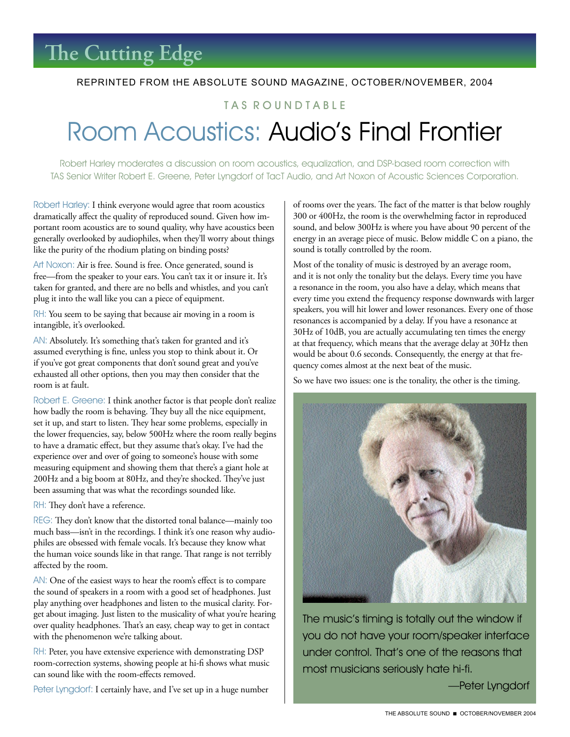#### REPRINTED FROM tHE ABSOLUTE SOUND MAGAZINE, OCTOBER/NOVEMBER, 2004

### TAS ROUNDTABLE

# Room Acoustics: Audio's Final Frontier

Robert Harley moderates a discussion on room acoustics, equalization, and DSP-based room correction with TAS Senior Writer Robert E. Greene, Peter Lyngdorf of TacT Audio, and Art Noxon of Acoustic Sciences Corporation.

Robert Harley: I think everyone would agree that room acoustics dramatically affect the quality of reproduced sound. Given how important room acoustics are to sound quality, why have acoustics been generally overlooked by audiophiles, when they'll worry about things like the purity of the rhodium plating on binding posts?

Art Noxon: Air is free. Sound is free. Once generated, sound is free—from the speaker to your ears. You can't tax it or insure it. It's taken for granted, and there are no bells and whistles, and you can't plug it into the wall like you can a piece of equipment.

RH: You seem to be saying that because air moving in a room is intangible, it's overlooked.

AN: Absolutely. It's something that's taken for granted and it's assumed everything is fine, unless you stop to think about it. Or if you've got great components that don't sound great and you've exhausted all other options, then you may then consider that the room is at fault.

Robert E. Greene: I think another factor is that people don't realize how badly the room is behaving. They buy all the nice equipment, set it up, and start to listen. They hear some problems, especially in the lower frequencies, say, below 500Hz where the room really begins to have a dramatic effect, but they assume that's okay. I've had the experience over and over of going to someone's house with some measuring equipment and showing them that there's a giant hole at 200Hz and a big boom at 80Hz, and they're shocked. They've just been assuming that was what the recordings sounded like.

RH: They don't have a reference.

REG: They don't know that the distorted tonal balance—mainly too much bass—isn't in the recordings. I think it's one reason why audiophiles are obsessed with female vocals. It's because they know what the human voice sounds like in that range. That range is not terribly affected by the room.

AN: One of the easiest ways to hear the room's effect is to compare the sound of speakers in a room with a good set of headphones. Just play anything over headphones and listen to the musical clarity. Forget about imaging. Just listen to the musicality of what you're hearing over quality headphones. That's an easy, cheap way to get in contact with the phenomenon we're talking about.

RH: Peter, you have extensive experience with demonstrating DSP room-correction systems, showing people at hi-fi shows what music can sound like with the room-effects removed.

Peter Lyngdorf: I certainly have, and I've set up in a huge number

of rooms over the years. The fact of the matter is that below roughly 300 or 400Hz, the room is the overwhelming factor in reproduced sound, and below 300Hz is where you have about 90 percent of the energy in an average piece of music. Below middle C on a piano, the sound is totally controlled by the room.

Most of the tonality of music is destroyed by an average room, and it is not only the tonality but the delays. Every time you have a resonance in the room, you also have a delay, which means that every time you extend the frequency response downwards with larger speakers, you will hit lower and lower resonances. Every one of those resonances is accompanied by a delay. If you have a resonance at 30Hz of 10dB, you are actually accumulating ten times the energy at that frequency, which means that the average delay at 30Hz then would be about 0.6 seconds. Consequently, the energy at that frequency comes almost at the next beat of the music.

So we have two issues: one is the tonality, the other is the timing.



The music's timing is totally out the window if you do not have your room/speaker interface under control. That's one of the reasons that most musicians seriously hate hi-fi.

—Peter Lyngdorf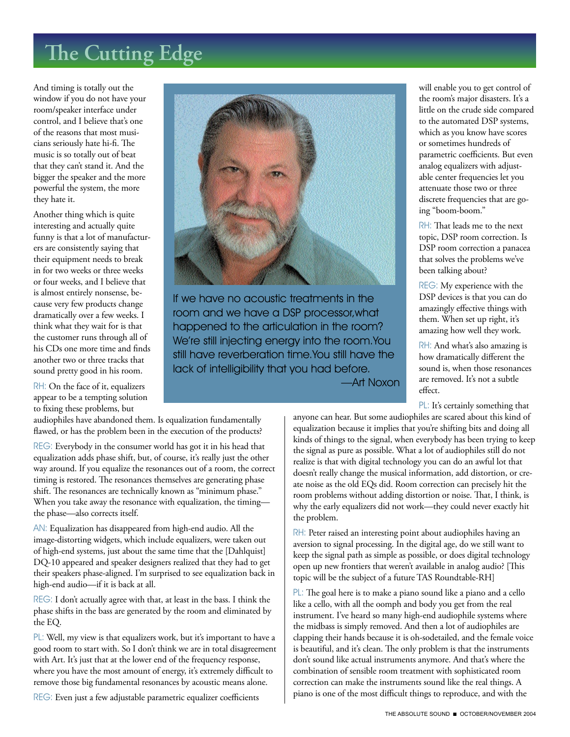# **The Cutting Edge**

And timing is totally out the window if you do not have your room/speaker interface under control, and I believe that's one of the reasons that most musicians seriously hate hi-fi. The music is so totally out of beat that they can't stand it. And the bigger the speaker and the more powerful the system, the more they hate it.

Another thing which is quite interesting and actually quite funny is that a lot of manufacturers are consistently saying that their equipment needs to break in for two weeks or three weeks or four weeks, and I believe that is almost entirely nonsense, because very few products change dramatically over a few weeks. I think what they wait for is that the customer runs through all of his CDs one more time and finds another two or three tracks that sound pretty good in his room.

RH: On the face of it, equalizers appear to be a tempting solution to fixing these problems, but

audiophiles have abandoned them. Is equalization fundamentally flawed, or has the problem been in the execution of the products?

REG: Everybody in the consumer world has got it in his head that equalization adds phase shift, but, of course, it's really just the other way around. If you equalize the resonances out of a room, the correct timing is restored. The resonances themselves are generating phase shift. The resonances are technically known as "minimum phase." When you take away the resonance with equalization, the timing the phase—also corrects itself.

AN: Equalization has disappeared from high-end audio. All the image-distorting widgets, which include equalizers, were taken out of high-end systems, just about the same time that the [Dahlquist] DQ-10 appeared and speaker designers realized that they had to get their speakers phase-aligned. I'm surprised to see equalization back in high-end audio—if it is back at all.

REG: I don't actually agree with that, at least in the bass. I think the phase shifts in the bass are generated by the room and eliminated by the EQ.

PL: Well, my view is that equalizers work, but it's important to have a good room to start with. So I don't think we are in total disagreement with Art. It's just that at the lower end of the frequency response, where you have the most amount of energy, it's extremely difficult to remove those big fundamental resonances by acoustic means alone.

REG: Even just a few adjustable parametric equalizer coefficients



If we have no acoustic treatments in the room and we have a DSP processor,what happened to the articulation in the room? We're still injecting energy into the room.You still have reverberation time.You still have the lack of intelligibility that you had before.

—Art Noxon

will enable you to get control of the room's major disasters. It's a little on the crude side compared to the automated DSP systems, which as you know have scores or sometimes hundreds of parametric coefficients. But even analog equalizers with adjustable center frequencies let you attenuate those two or three discrete frequencies that are going "boom-boom."

RH: That leads me to the next topic, DSP room correction. Is DSP room correction a panacea that solves the problems we've been talking about?

REG: My experience with the DSP devices is that you can do amazingly effective things with them. When set up right, it's amazing how well they work.

RH: And what's also amazing is how dramatically different the sound is, when those resonances are removed. It's not a subtle effect.

PL: It's certainly something that

anyone can hear. But some audiophiles are scared about this kind of equalization because it implies that you're shifting bits and doing all kinds of things to the signal, when everybody has been trying to keep the signal as pure as possible. What a lot of audiophiles still do not realize is that with digital technology you can do an awful lot that doesn't really change the musical information, add distortion, or create noise as the old EQs did. Room correction can precisely hit the room problems without adding distortion or noise. That, I think, is why the early equalizers did not work—they could never exactly hit the problem.

RH: Peter raised an interesting point about audiophiles having an aversion to signal processing. In the digital age, do we still want to keep the signal path as simple as possible, or does digital technology open up new frontiers that weren't available in analog audio? [This topic will be the subject of a future TAS Roundtable-RH]

PL: The goal here is to make a piano sound like a piano and a cello like a cello, with all the oomph and body you get from the real instrument. I've heard so many high-end audiophile systems where the midbass is simply removed. And then a lot of audiophiles are clapping their hands because it is oh-sodetailed, and the female voice is beautiful, and it's clean. The only problem is that the instruments don't sound like actual instruments anymore. And that's where the combination of sensible room treatment with sophisticated room correction can make the instruments sound like the real things. A piano is one of the most difficult things to reproduce, and with the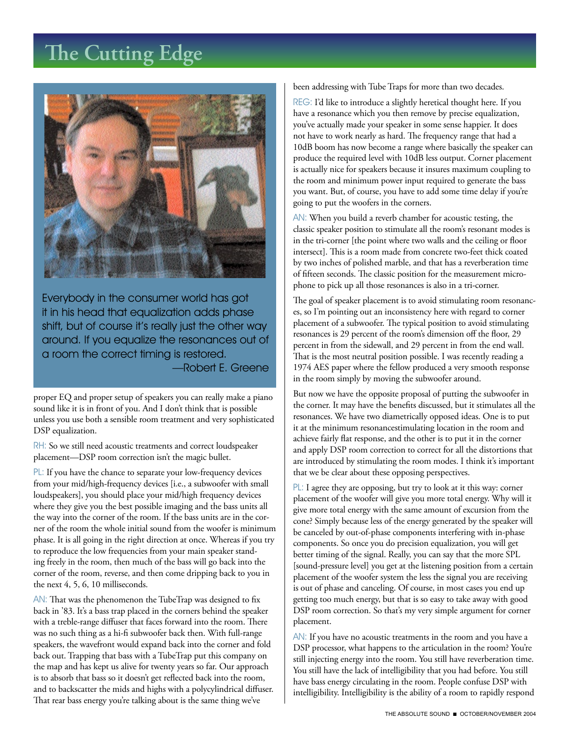### **The Cutting Edge**



Everybody in the consumer world has got it in his head that equalization adds phase shift, but of course it's really just the other way around. If you equalize the resonances out of a room the correct timing is restored. —Robert E. Greene

proper EQ and proper setup of speakers you can really make a piano sound like it is in front of you. And I don't think that is possible unless you use both a sensible room treatment and very sophisticated DSP equalization.

RH: So we still need acoustic treatments and correct loudspeaker placement—DSP room correction isn't the magic bullet.

PL: If you have the chance to separate your low-frequency devices from your mid/high-frequency devices [i.e., a subwoofer with small loudspeakers], you should place your mid/high frequency devices where they give you the best possible imaging and the bass units all the way into the corner of the room. If the bass units are in the corner of the room the whole initial sound from the woofer is minimum phase. It is all going in the right direction at once. Whereas if you try to reproduce the low frequencies from your main speaker standing freely in the room, then much of the bass will go back into the corner of the room, reverse, and then come dripping back to you in the next 4, 5, 6, 10 milliseconds.

AN: That was the phenomenon the TubeTrap was designed to fix back in '83. It's a bass trap placed in the corners behind the speaker with a treble-range diffuser that faces forward into the room. There was no such thing as a hi-fi subwoofer back then. With full-range speakers, the wavefront would expand back into the corner and fold back out. Trapping that bass with a TubeTrap put this company on the map and has kept us alive for twenty years so far. Our approach is to absorb that bass so it doesn't get reflected back into the room, and to backscatter the mids and highs with a polycylindrical diffuser. That rear bass energy you're talking about is the same thing we've

been addressing with Tube Traps for more than two decades.

REG: I'd like to introduce a slightly heretical thought here. If you have a resonance which you then remove by precise equalization, you've actually made your speaker in some sense happier. It does not have to work nearly as hard. The frequency range that had a 10dB boom has now become a range where basically the speaker can produce the required level with 10dB less output. Corner placement is actually nice for speakers because it insures maximum coupling to the room and minimum power input required to generate the bass you want. But, of course, you have to add some time delay if you're going to put the woofers in the corners.

AN: When you build a reverb chamber for acoustic testing, the classic speaker position to stimulate all the room's resonant modes is in the tri-corner [the point where two walls and the ceiling or floor intersect]. This is a room made from concrete two-feet thick coated by two inches of polished marble, and that has a reverberation time of fifteen seconds. The classic position for the measurement microphone to pick up all those resonances is also in a tri-corner.

The goal of speaker placement is to avoid stimulating room resonances, so I'm pointing out an inconsistency here with regard to corner placement of a subwoofer. The typical position to avoid stimulating resonances is 29 percent of the room's dimension off the floor, 29 percent in from the sidewall, and 29 percent in from the end wall. That is the most neutral position possible. I was recently reading a 1974 AES paper where the fellow produced a very smooth response in the room simply by moving the subwoofer around.

But now we have the opposite proposal of putting the subwoofer in the corner. It may have the benefits discussed, but it stimulates all the resonances. We have two diametrically opposed ideas. One is to put it at the minimum resonancestimulating location in the room and achieve fairly flat response, and the other is to put it in the corner and apply DSP room correction to correct for all the distortions that are introduced by stimulating the room modes. I think it's important that we be clear about these opposing perspectives.

PL: I agree they are opposing, but try to look at it this way: corner placement of the woofer will give you more total energy. Why will it give more total energy with the same amount of excursion from the cone? Simply because less of the energy generated by the speaker will be canceled by out-of-phase components interfering with in-phase components. So once you do precision equalization, you will get better timing of the signal. Really, you can say that the more SPL [sound-pressure level] you get at the listening position from a certain placement of the woofer system the less the signal you are receiving is out of phase and canceling. Of course, in most cases you end up getting too much energy, but that is so easy to take away with good DSP room correction. So that's my very simple argument for corner placement.

AN: If you have no acoustic treatments in the room and you have a DSP processor, what happens to the articulation in the room? You're still injecting energy into the room. You still have reverberation time. You still have the lack of intelligibility that you had before. You still have bass energy circulating in the room. People confuse DSP with intelligibility. Intelligibility is the ability of a room to rapidly respond